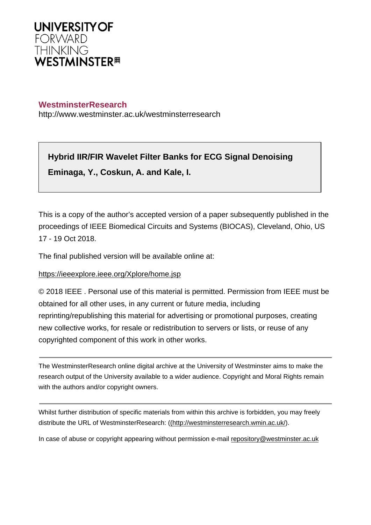

# **WestminsterResearch**

http://www.westminster.ac.uk/westminsterresearch

**Hybrid IIR/FIR Wavelet Filter Banks for ECG Signal Denoising Eminaga, Y., Coskun, A. and Kale, I.**

This is a copy of the author's accepted version of a paper subsequently published in the proceedings of IEEE Biomedical Circuits and Systems (BIOCAS), Cleveland, Ohio, US 17 - 19 Oct 2018.

The final published version will be available online at:

# <https://ieeexplore.ieee.org/Xplore/home.jsp>

© 2018 IEEE . Personal use of this material is permitted. Permission from IEEE must be obtained for all other uses, in any current or future media, including reprinting/republishing this material for advertising or promotional purposes, creating new collective works, for resale or redistribution to servers or lists, or reuse of any copyrighted component of this work in other works.

The WestminsterResearch online digital archive at the University of Westminster aims to make the research output of the University available to a wider audience. Copyright and Moral Rights remain with the authors and/or copyright owners.

Whilst further distribution of specific materials from within this archive is forbidden, you may freely distribute the URL of WestminsterResearch: [\(\(http://westminsterresearch.wmin.ac.uk/](http://westminsterresearch.wmin.ac.uk/)).

In case of abuse or copyright appearing without permission e-mail <repository@westminster.ac.uk>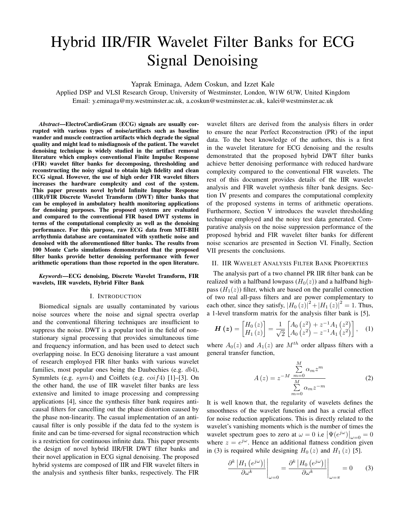# Hybrid IIR/FIR Wavelet Filter Banks for ECG Signal Denoising

Yaprak Eminaga, Adem Coskun, and Izzet Kale

Applied DSP and VLSI Research Group, University of Westminster, London, W1W 6UW, United Kingdom Email: y.eminaga@my.westminster.ac.uk, a.coskun@westminster.ac.uk, kalei@westminster.ac.uk

*Abstract*—ElectroCardioGram (ECG) signals are usually corrupted with various types of noise/artifacts such as baseline wander and muscle contraction artifacts which degrade the signal quality and might lead to misdiagnosis of the patient. The wavelet denoising technique is widely studied in the artifact removal literature which employs conventional Finite Impulse Response (FIR) wavelet filter banks for decomposing, thresholding and reconstructing the noisy signal to obtain high fidelity and clean ECG signal. However, the use of high order FIR wavelet filters increases the hardware complexity and cost of the system. This paper presents novel hybrid Infinite Impulse Response (IIR)/FIR Discrete Wavelet Transform (DWT) filter banks that can be employed in ambulatory health monitoring applications for denoising purposes. The proposed systems are evaluated and compared to the conventional FIR based DWT systems in terms of the computational complexity as well as the denoising performance. For this purpose, raw ECG data from MIT-BIH arrhythmia database are contaminated with synthetic noise and denoised with the aforementioned filter banks. The results from 100 Monte Carlo simulations demonstrated that the proposed filter banks provide better denoising performance with fewer arithmetic operations than those reported in the open literature.

*Keywords*—ECG denoising, Discrete Wavelet Transform, FIR wavelets, IIR wavelets, Hybrid Filter Bank

#### I. INTRODUCTION

Biomedical signals are usually contaminated by various noise sources where the noise and signal spectra overlap and the conventional filtering techniques are insufficient to suppress the noise. DWT is a popular tool in the field of nonstationary signal processing that provides simultaneous time and frequency information, and has been used to detect such overlapping noise. In ECG denoising literature a vast amount of research employed FIR filter banks with various wavelet families, most popular ones being the Daubechies (e.g.  $db4$ ), Symmlets (e.g.  $sym4$ ) and Coiflets (e.g.  $\cot f_4$ ) [1]–[3]. On the other hand, the use of IIR wavelet filter banks are less extensive and limited to image processing and compressing applications [4], since the synthesis filter bank requires anticausal filters for cancelling out the phase distortion caused by the phase non-linearity. The casual implementation of an anticausal filter is only possible if the data fed to the system is finite and can be time-reversed for signal reconstruction which is a restriction for continuous infinite data. This paper presents the design of novel hybrid IIR/FIR DWT filter banks and their novel application in ECG signal denoising. The proposed hybrid systems are composed of IIR and FIR wavelet filters in the analysis and synthesis filter banks, respectively. The FIR

wavelet filters are derived from the analysis filters in order to ensure the near Perfect Reconstruction (PR) of the input data. To the best knowledge of the authors, this is a first in the wavelet literature for ECG denoising and the results demonstrated that the proposed hybrid DWT filter banks achieve better denoising performance with reduced hardware complexity compared to the conventional FIR wavelets. The rest of this document provides details of the IIR wavelet analysis and FIR wavelet synthesis filter bank designs. Section IV presents and compares the computational complexity of the proposed systems in terms of arithmetic operations. Furthermore, Section V introduces the wavelet thresholding technique employed and the noisy test data generated. Comparative analysis on the noise suppression performance of the proposed hybrid and FIR wavelet filter banks for different noise scenarios are presented in Section VI. Finally, Section VII presents the conclusions.

# II. IIR WAVELET ANALYSIS FILTER BANK PROPERTIES

The analysis part of a two channel PR IIR filter bank can be realized with a halfband lowpass  $(H_0(z))$  and a halfband highpass  $(H_1(z))$  filter, which are based on the parallel connection of two real all-pass filters and are power complementary to each other, since they satisfy,  $|H_0(z)|^2 + |H_1(z)|^2 = 1$ . Thus, a 1-level transform matrix for the analysis filter bank is [5],

$$
\boldsymbol{H}\left(\boldsymbol{z}\right) = \begin{bmatrix} H_0\left(z\right) \\ H_1\left(z\right) \end{bmatrix} = \frac{1}{\sqrt{2}} \begin{bmatrix} A_0\left(z^2\right) + z^{-1}A_1\left(z^2\right) \\ A_0\left(z^2\right) - z^{-1}A_1\left(z^2\right) \end{bmatrix}, \quad (1)
$$

where  $A_0(z)$  and  $A_1(z)$  are  $M<sup>th</sup>$  order allpass filters with a general transfer function,

$$
A(z) = z^{-M} \frac{\sum_{m=0}^{M} \alpha_m z^m}{\sum_{m=0}^{M} \alpha_m z^{-m}}
$$
 (2)

It is well known that, the regularity of wavelets defines the smoothness of the wavelet function and has a crucial effect for noise reduction applications. This is directly related to the wavelet's vanishing moments which is the number of times the wavelet spectrum goes to zero at  $\omega = 0$  i.e  $\left| \Psi(e^{j\omega}) \right|_{\omega=0} = 0$ where  $z = e^{j\omega}$ . Hence an additional flatness condition given in (3) is required while designing  $H_0(z)$  and  $H_1(z)$  [5].

$$
\frac{\partial^{k} |H_{1} (e^{j\omega})|}{\partial \omega^{k}} \bigg|_{\omega=0} = \frac{\partial^{k} |H_{0} (e^{j\omega})|}{\partial \omega^{k}} \bigg|_{\omega=\pi} = 0 \qquad (3)
$$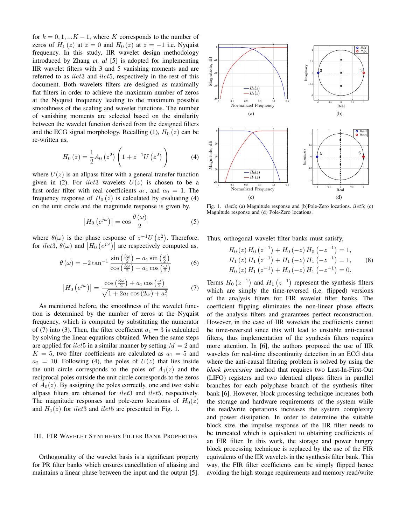for  $k = 0, 1, \ldots K - 1$ , where K corresponds to the number of zeros of  $H_1(z)$  at  $z = 0$  and  $H_0(z)$  at  $z = -1$  i.e. Nyquist frequency. In this study, IIR wavelet design methodology introduced by Zhang *et. al* [5] is adopted for implementing IIR wavelet filters with 3 and 5 vanishing moments and are referred to as *ilet3* and *ilet5*, respectively in the rest of this document. Both wavelets filters are designed as maximally flat filters in order to achieve the maximum number of zeros at the Nyquist frequency leading to the maximum possible smoothness of the scaling and wavelet functions. The number of vanishing moments are selected based on the similarity between the wavelet function derived from the designed filters and the ECG signal morphology. Recalling (1),  $H_0(z)$  can be re-written as,

$$
H_0(z) = \frac{1}{2} A_0(z^2) \left( 1 + z^{-1} U(z^2) \right)
$$
 (4)

where  $U(z)$  is an allpass filter with a general transfer function given in (2). For *ilet*3 wavelets  $U(z)$  is chosen to be a first order filter with real coefficients  $a_1$ , and  $a_0 = 1$ . The frequency response of  $H_0(z)$  is calculated by evaluating (4) on the unit circle and the magnitude response is given by,

$$
\left|H_0\left(e^{j\omega}\right)\right| = \cos\frac{\theta\left(\omega\right)}{2} \tag{5}
$$

where  $\theta(\omega)$  is the phase response of  $z^{-1}U(z^2)$ . Therefore, for *ilet*3,  $\theta(\omega)$  and  $\left|H_0\left(e^{j\omega}\right)\right|$  are respectively computed as,

$$
\theta(\omega) = -2 \tan^{-1} \frac{\sin \left(\frac{3\omega}{2}\right) - a_1 \sin \left(\frac{\omega}{2}\right)}{\cos \left(\frac{3\omega}{2}\right) + a_1 \cos \left(\frac{\omega}{2}\right)}\tag{6}
$$

$$
\left| H_0 \left( e^{j\omega} \right) \right| = \frac{\cos \left( \frac{3\omega}{2} \right) + a_1 \cos \left( \frac{\omega}{2} \right)}{\sqrt{1 + 2a_1 \cos \left( 2\omega \right) + a_1^2}} \tag{7}
$$

As mentioned before, the smoothness of the wavelet function is determined by the number of zeros at the Nyquist frequency, which is computed by substituting the numerator of (7) into (3). Then, the filter coefficient  $a_1 = 3$  is calculated by solving the linear equations obtained. When the same steps are applied for *ilet*<sup>5</sup> in a similar manner by setting  $M = 2$  and  $K = 5$ , two filter coefficients are calculated as  $a_1 = 5$  and  $a_2 = 10$ . Following (4), the poles of  $U(z)$  that lies inside the unit circle corresponds to the poles of  $A_1(z)$  and the reciprocal poles outside the unit circle corresponds to the zeros of  $A_0(z)$ . By assigning the poles correctly, one and two stable allpass filters are obtained for *ilet3* and *ilet5*, respectively. The magnitude responses and pole-zero locations of  $H_0(z)$ and  $H_1(z)$  for *ilet*3 and *ilet*5 are presented in Fig. 1.

# III. FIR WAVELET SYNTHESIS FILTER BANK PROPERTIES

Orthogonality of the wavelet basis is a significant property for PR filter banks which ensures cancellation of aliasing and maintains a linear phase between the input and the output [5].



Fig. 1. *ilet3*; (a) Magnitude response and (b)Pole-Zero locations. *ilet5*; (c) Magnitude response and (d) Pole-Zero locations.

Thus, orthogonal wavelet filter banks must satisfy, −1

$$
H_0(z) H_0(z^{-1}) + H_0(-z) H_0(-z^{-1}) = 1,
$$
  
\n
$$
H_1(z) H_1(z^{-1}) + H_1(-z) H_1(-z^{-1}) = 1,
$$
  
\n
$$
H_0(z) H_1(z^{-1}) + H_0(-z) H_1(-z^{-1}) = 0.
$$
\n(8)

Terms  $H_0(z^{-1})$  and  $H_1(z^{-1})$  represent the synthesis filters which are simply the time-reversed (i.e. flipped) versions of the analysis filters for FIR wavelet filter banks. The coefficient flipping eliminates the non-linear phase effects of the analysis filters and guarantees perfect reconstruction. However, in the case of IIR wavelets the coefficients cannot be time-reversed since this will lead to unstable anti-causal filters, thus implementation of the synthesis filters requires more attention. In [6], the authors proposed the use of IIR wavelets for real-time discontinuity detection in an ECG data where the anti-causal filtering problem is solved by using the *block processing* method that requires two Last-In-First-Out (LIFO) registers and two identical allpass filters in parallel branches for each polyphase branch of the synthesis filter bank [6]. However, block processing technique increases both the storage and hardware requirements of the system while the read/write operations increases the system complexity and power dissipation. In order to determine the suitable block size, the impulse response of the IIR filter needs to be truncated which is equivalent to obtaining coefficients of an FIR filter. In this work, the storage and power hungry block processing technique is replaced by the use of the FIR equivalents of the IIR wavelets in the synthesis filter bank. This way, the FIR filter coefficients can be simply flipped hence avoiding the high storage requirements and memory read/write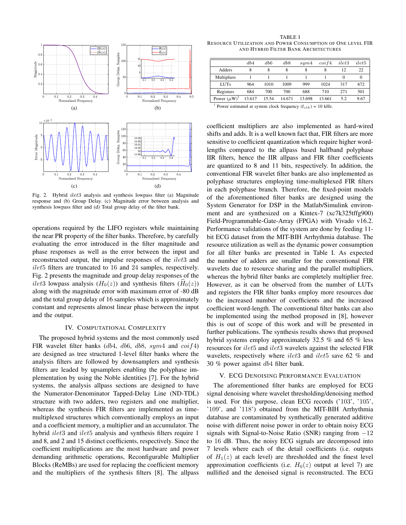

Fig. 2. Hybrid ilet3 analysis and synthesis lowpass filter (a) Magnitude response and (b) Group Delay. (c) Magnitude error between analysis and synthesis lowpass filter and (d) Total group delay of the filter bank.

operations required by the LIFO registers while maintaining the near PR property of the filter banks. Therefore, by carefully evaluating the error introduced in the filter magnitude and phase responses as well as the error between the input and reconstructed output, the impulse responses of the *ilet3* and ilet5 filters are truncated to 16 and 24 samples, respectively. Fig. 2 presents the magnitude and group delay responses of the *ilet*3 lowpass analysis  $(H_0(z))$  and synthesis filters  $(H_0(z))$ along with the magnitude error with maximum error of -80 dB and the total group delay of 16 samples which is approximately constant and represents almost linear phase between the input and the output.

## IV. COMPUTATIONAL COMPLEXITY

The proposed hybrid systems and the most commonly used FIR wavelet filter banks ( $db4$ ,  $db6$ ,  $db8$ , sym4 and  $coif4$ ) are designed as tree structured 1-level filter banks where the analysis filters are followed by downsamplers and synthesis filters are leaded by upsamplers enabling the polyphase implementation by using the Noble identities [7]. For the hybrid systems, the analysis allpass sections are designed to have the Numerator-Denominator Tapped-Delay Line (ND-TDL) structure with two adders, two registers and one multiplier, whereas the synthesis FIR filters are implemented as timemultiplexed structures which conventionally employs an input and a coefficient memory, a multiplier and an accumulator. The hybrid *ilet3* and *ilet5* analysis and synthesis filters require 1 and 8, and 2 and 15 distinct coefficients, respectively. Since the coefficient multiplications are the most hardware and power demanding arithmetic operations, Reconfigurable Multiplier Blocks (ReMBs) are used for replacing the coefficient memory and the multipliers of the synthesis filters [8]. The allpass

TABLE I RESOURCE UTILIZATION AND POWER CONSUMPTION OF ONE LEVEL FIR AND HYBRID FILTER BANK ARCHITECTURES

|                     | db4    | db6   | db8    | sum4   | $\cot f_4$ | ilet3 | ilet5    |
|---------------------|--------|-------|--------|--------|------------|-------|----------|
| Adders              | 8      | 8     | 8      | 8      | 8          | 12    | 22       |
| Multipliers         |        |       |        |        |            |       | $\Omega$ |
| <b>LUTs</b>         | 964    | 1010  | 1009   | 999    | 1024       | 317   | 672      |
| Registers           | 684    | 700   | 700    | 688    | 710        | 271   | 501      |
| Power $(\mu W)^{1}$ | 13.617 | 15.54 | 14.671 | 13.698 | 13.661     | 5.2   | 9.67     |
|                     |        |       |        |        |            |       |          |

<sup>1</sup> Power estimated at system clock frequency ( $f_{clk}$ ) = 10 kHz.

coefficient multipliers are also implemented as hard-wired shifts and adds. It is a well known fact that, FIR filters are more sensitive to coefficient quantization which require higher wordlengths compared to the allpass based halfband polyphase IIR filters, hence the IIR allpass and FIR filter coefficients are quantized to 8 and 11 bits, respectively. In addition, the conventional FIR wavelet filter banks are also implemented as polyphase structures employing time-multiplexed FIR filters in each polyphase branch. Therefore, the fixed-point models of the aforementioned filter banks are designed using the System Generator for DSP in the Matlab/Simulink environment and are synthesized on a Kintex-7 (xc7k325tffg900) Field-Programmable-Gate-Array (FPGA) with Vivado v16.2. Performance validations of the system are done by feeding 11 bit ECG dataset from the MIT-BIH Arrhythmia database. The resource utilization as well as the dynamic power consumption for all filter banks are presented in Table I. As expected the number of adders are smaller for the conventional FIR wavelets due to resource sharing and the parallel multipliers, whereas the hybrid filter banks are completely multiplier free. However, as it can be observed from the number of LUTs and registers the FIR filter banks employ more resources due to the increased number of coefficients and the increased coefficient word-length. The conventional filter banks can also be implemented using the method proposed in [8], however this is out of scope of this work and will be presented in further publications. The synthesis results shows that proposed hybrid systems employ approximately 32.5 % and 65 % less resources for *ilet*5 and *ilet3* wavelets against the selected FIR wavelets, respectively where *ilet3* and *ilet5* save 62 % and 30 % power against db4 filter bank.

## V. ECG DENOISING PERFORMANCE EVALUATION

The aforementioned filter banks are employed for ECG signal denoising where wavelet thresholding/denoising method is used. For this purpose, clean ECG records ('103', '105', '109', and '118') obtained from the MIT-BIH Arrhythmia database are contaminated by synthetically generated additive noise with different noise power in order to obtain noisy ECG signals with Signal-to-Noise Ratio (SNR) ranging from −12 to 16 dB. Thus, the noisy ECG signals are decomposed into 7 levels where each of the detail coefficients (i.e. outputs of  $H_1(z)$  at each level) are thresholded and the finest level approximation coefficients (i.e.  $H<sub>0</sub>(z)$  output at level 7) are nullified and the denoised signal is reconstructed. The ECG